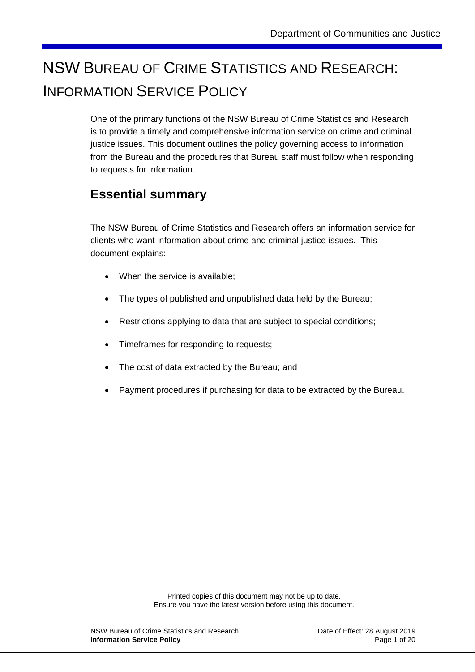# NSW BUREAU OF CRIME STATISTICS AND RESEARCH: INFORMATION SERVICE POLICY

One of the primary functions of the NSW Bureau of Crime Statistics and Research is to provide a timely and comprehensive information service on crime and criminal justice issues. This document outlines the policy governing access to information from the Bureau and the procedures that Bureau staff must follow when responding to requests for information.

### **Essential summary**

The NSW Bureau of Crime Statistics and Research offers an information service for clients who want information about crime and criminal justice issues. This document explains:

- When the service is available:
- The types of published and unpublished data held by the Bureau;
- Restrictions applying to data that are subject to special conditions;
- Timeframes for responding to requests;
- The cost of data extracted by the Bureau; and
- Payment procedures if purchasing for data to be extracted by the Bureau.

Printed copies of this document may not be up to date. Ensure you have the latest version before using this document.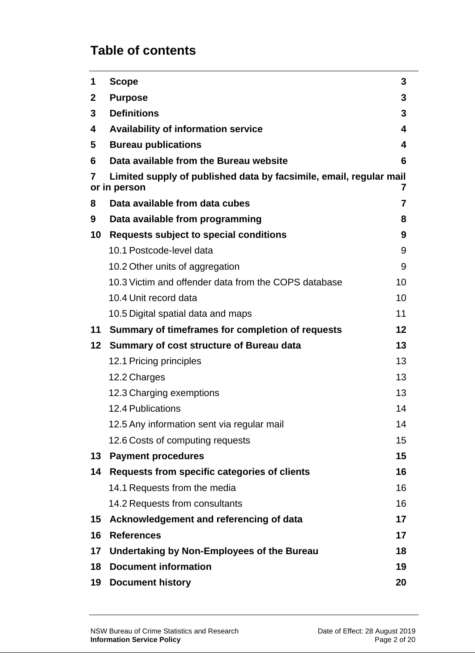# **Table of contents**

| 1            | <b>Scope</b>                                                                            | 3  |  |  |
|--------------|-----------------------------------------------------------------------------------------|----|--|--|
| $\mathbf{2}$ | <b>Purpose</b>                                                                          | 3  |  |  |
| 3            | <b>Definitions</b>                                                                      | 3  |  |  |
| 4            | <b>Availability of information service</b>                                              | 4  |  |  |
| 5            | <b>Bureau publications</b>                                                              | 4  |  |  |
| 6            | Data available from the Bureau website                                                  | 6  |  |  |
| 7            | Limited supply of published data by facsimile, email, regular mail<br>7<br>or in person |    |  |  |
| 8            | Data available from data cubes                                                          | 7  |  |  |
| 9            | Data available from programming                                                         | 8  |  |  |
| 10           | <b>Requests subject to special conditions</b>                                           | 9  |  |  |
|              | 10.1 Postcode-level data                                                                | 9  |  |  |
|              | 10.2 Other units of aggregation                                                         | 9  |  |  |
|              | 10.3 Victim and offender data from the COPS database                                    | 10 |  |  |
|              | 10.4 Unit record data                                                                   | 10 |  |  |
|              | 10.5 Digital spatial data and maps                                                      | 11 |  |  |
| 11           | Summary of timeframes for completion of requests                                        | 12 |  |  |
| $12 \,$      | Summary of cost structure of Bureau data                                                | 13 |  |  |
|              | 12.1 Pricing principles                                                                 | 13 |  |  |
|              | 12.2 Charges                                                                            | 13 |  |  |
|              | 12.3 Charging exemptions                                                                | 13 |  |  |
|              | <b>12.4 Publications</b>                                                                | 14 |  |  |
|              | 12.5 Any information sent via regular mail                                              | 14 |  |  |
|              | 12.6 Costs of computing requests                                                        | 15 |  |  |
| 13           | <b>Payment procedures</b>                                                               | 15 |  |  |
| 14           | Requests from specific categories of clients                                            | 16 |  |  |
|              | 14.1 Requests from the media                                                            | 16 |  |  |
|              | 14.2 Requests from consultants                                                          | 16 |  |  |
| 15           | Acknowledgement and referencing of data                                                 | 17 |  |  |
| 16           | <b>References</b>                                                                       | 17 |  |  |
| 17           | Undertaking by Non-Employees of the Bureau                                              | 18 |  |  |
| 18           | <b>Document information</b>                                                             | 19 |  |  |
| 19           | <b>Document history</b>                                                                 | 20 |  |  |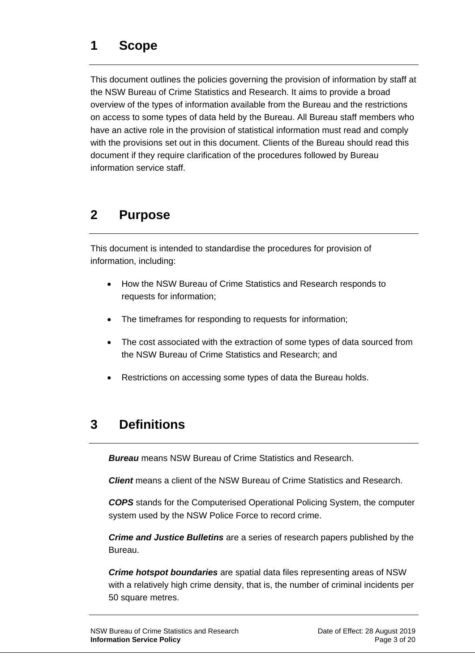<span id="page-2-0"></span>This document outlines the policies governing the provision of information by staff at the NSW Bureau of Crime Statistics and Research. It aims to provide a broad overview of the types of information available from the Bureau and the restrictions on access to some types of data held by the Bureau. All Bureau staff members who have an active role in the provision of statistical information must read and comply with the provisions set out in this document. Clients of the Bureau should read this document if they require clarification of the procedures followed by Bureau information service staff.

### <span id="page-2-1"></span>**2 Purpose**

This document is intended to standardise the procedures for provision of information, including:

- How the NSW Bureau of Crime Statistics and Research responds to requests for information;
- The timeframes for responding to requests for information;
- The cost associated with the extraction of some types of data sourced from the NSW Bureau of Crime Statistics and Research; and
- Restrictions on accessing some types of data the Bureau holds.

# <span id="page-2-2"></span>**3 Definitions**

*Bureau* means NSW Bureau of Crime Statistics and Research.

*Client* means a client of the NSW Bureau of Crime Statistics and Research.

*COPS* stands for the Computerised Operational Policing System, the computer system used by the NSW Police Force to record crime.

*Crime and Justice Bulletins* are a series of research papers published by the Bureau.

*Crime hotspot boundaries* are spatial data files representing areas of NSW with a relatively high crime density, that is, the number of criminal incidents per 50 square metres.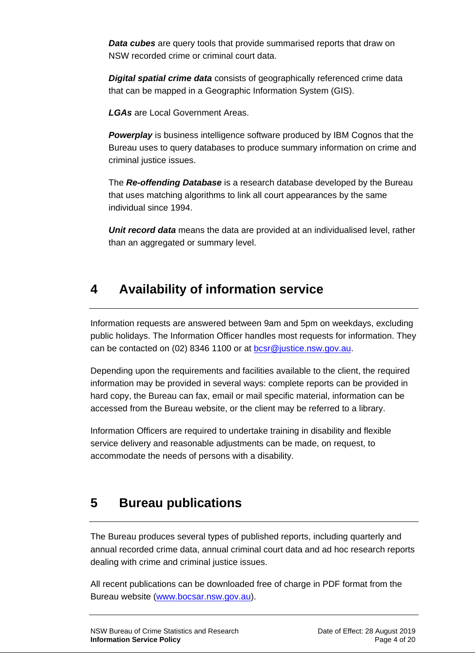**Data cubes** are query tools that provide summarised reports that draw on NSW recorded crime or criminal court data.

*Digital spatial crime data* consists of geographically referenced crime data that can be mapped in a Geographic Information System (GIS).

*LGAs* are Local Government Areas.

**Powerplay** is business intelligence software produced by IBM Cognos that the Bureau uses to query databases to produce summary information on crime and criminal justice issues.

The *Re-offending Database* is a research database developed by the Bureau that uses matching algorithms to link all court appearances by the same individual since 1994.

*Unit record data* means the data are provided at an individualised level, rather than an aggregated or summary level.

### <span id="page-3-0"></span>**4 Availability of information service**

Information requests are answered between 9am and 5pm on weekdays, excluding public holidays. The Information Officer handles most requests for information. They can be contacted on (02) 8346 1100 or at [bcsr@justice.nsw.gov.au.](mailto:bcsr@justice.nsw.gov.au)

Depending upon the requirements and facilities available to the client, the required information may be provided in several ways: complete reports can be provided in hard copy, the Bureau can fax, email or mail specific material, information can be accessed from the Bureau website, or the client may be referred to a library.

Information Officers are required to undertake training in disability and flexible service delivery and reasonable adjustments can be made, on request, to accommodate the needs of persons with a disability.

### <span id="page-3-1"></span>**5 Bureau publications**

The Bureau produces several types of published reports, including quarterly and annual recorded crime data, annual criminal court data and ad hoc research reports dealing with crime and criminal justice issues.

All recent publications can be downloaded free of charge in PDF format from the Bureau website [\(www.bocsar.nsw.gov.au\)](http://www.bocsar.nsw.gov.au/).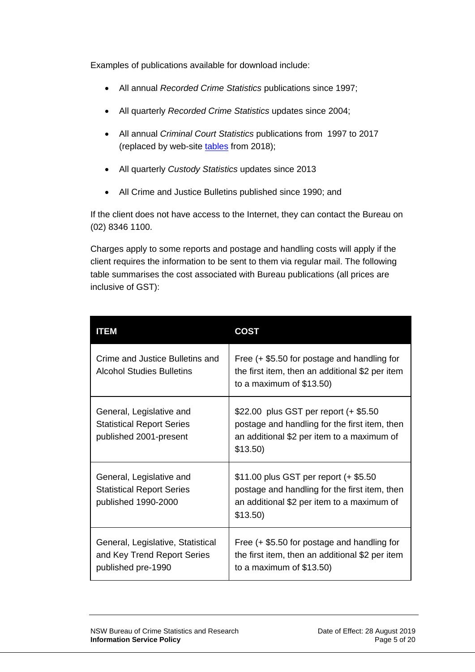Examples of publications available for download include:

- All annual *Recorded Crime Statistics* publications since 1997;
- All quarterly *Recorded Crime Statistics* updates since 2004;
- All annual *Criminal Court Statistics* publications from 1997 to 2017 (replaced by [web-site tables](https://www.bocsar.nsw.gov.au/Pages/bocsar_court_stats/bocsar_court_stats.aspx) from 2018);
- All quarterly *Custody Statistics* updates since 2013
- All Crime and Justice Bulletins published since 1990; and

If the client does not have access to the Internet, they can contact the Bureau on (02) 8346 1100.

Charges apply to some reports and postage and handling costs will apply if the client requires the information to be sent to them via regular mail. The following table summarises the cost associated with Bureau publications (all prices are inclusive of GST):

| ITEM                                                                                   | COST                                                                                                                                               |
|----------------------------------------------------------------------------------------|----------------------------------------------------------------------------------------------------------------------------------------------------|
| Crime and Justice Bulletins and<br><b>Alcohol Studies Bulletins</b>                    | Free (+ \$5.50 for postage and handling for<br>the first item, then an additional \$2 per item<br>to a maximum of $$13.50$ )                       |
| General, Legislative and<br><b>Statistical Report Series</b><br>published 2001-present | \$22.00 plus GST per report (+ \$5.50<br>postage and handling for the first item, then<br>an additional \$2 per item to a maximum of<br>$$13.50$ ) |
| General, Legislative and<br><b>Statistical Report Series</b><br>published 1990-2000    | \$11.00 plus GST per report (+ \$5.50<br>postage and handling for the first item, then<br>an additional \$2 per item to a maximum of<br>$$13.50$ ) |
| General, Legislative, Statistical<br>and Key Trend Report Series<br>published pre-1990 | Free (+ \$5.50 for postage and handling for<br>the first item, then an additional \$2 per item<br>to a maximum of $$13.50$ )                       |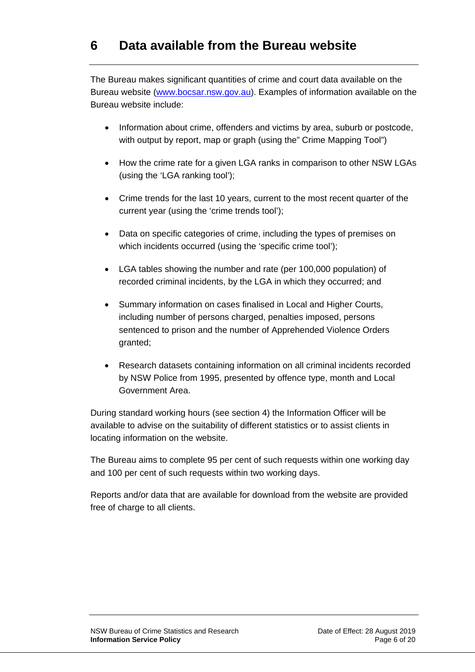<span id="page-5-0"></span>The Bureau makes significant quantities of crime and court data available on the Bureau website [\(www.bocsar.nsw.gov.au\)](http://www.bocsar.nsw.gov.au/). Examples of information available on the Bureau website include:

- Information about crime, offenders and victims by area, suburb or postcode, with output by report, map or graph (using the" Crime Mapping Tool")
- How the crime rate for a given LGA ranks in comparison to other NSW LGAs (using the 'LGA ranking tool');
- Crime trends for the last 10 years, current to the most recent quarter of the current year (using the 'crime trends tool');
- Data on specific categories of crime, including the types of premises on which incidents occurred (using the 'specific crime tool');
- LGA tables showing the number and rate (per 100,000 population) of recorded criminal incidents, by the LGA in which they occurred; and
- Summary information on cases finalised in Local and Higher Courts, including number of persons charged, penalties imposed, persons sentenced to prison and the number of Apprehended Violence Orders granted;
- Research datasets containing information on all criminal incidents recorded by NSW Police from 1995, presented by offence type, month and Local Government Area.

During standard working hours (see section 4) the Information Officer will be available to advise on the suitability of different statistics or to assist clients in locating information on the website.

The Bureau aims to complete 95 per cent of such requests within one working day and 100 per cent of such requests within two working days.

<span id="page-5-1"></span>Reports and/or data that are available for download from the website are provided free of charge to all clients.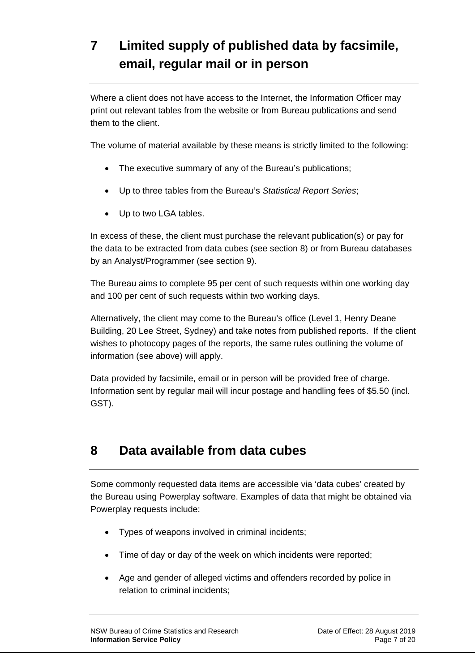# **7 Limited supply of published data by facsimile, email, regular mail or in person**

Where a client does not have access to the Internet, the Information Officer may print out relevant tables from the website or from Bureau publications and send them to the client.

The volume of material available by these means is strictly limited to the following:

- The executive summary of any of the Bureau's publications;
- Up to three tables from the Bureau's *Statistical Report Series*;
- Up to two LGA tables.

In excess of these, the client must purchase the relevant publication(s) or pay for the data to be extracted from data cubes (see section 8) or from Bureau databases by an Analyst/Programmer (see section 9).

The Bureau aims to complete 95 per cent of such requests within one working day and 100 per cent of such requests within two working days.

Alternatively, the client may come to the Bureau's office (Level 1, Henry Deane Building, 20 Lee Street, Sydney) and take notes from published reports. If the client wishes to photocopy pages of the reports, the same rules outlining the volume of information (see above) will apply.

Data provided by facsimile, email or in person will be provided free of charge. Information sent by regular mail will incur postage and handling fees of \$5.50 (incl. GST).

### <span id="page-6-0"></span>**8 Data available from data cubes**

Some commonly requested data items are accessible via 'data cubes' created by the Bureau using Powerplay software. Examples of data that might be obtained via Powerplay requests include:

- Types of weapons involved in criminal incidents;
- Time of day or day of the week on which incidents were reported;
- Age and gender of alleged victims and offenders recorded by police in relation to criminal incidents;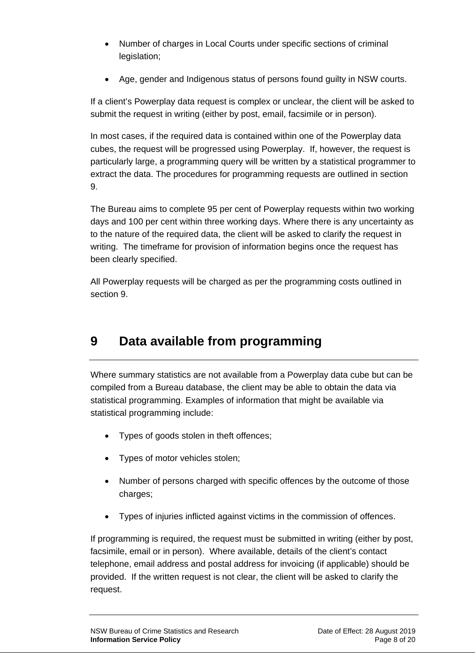- Number of charges in Local Courts under specific sections of criminal legislation:
- Age, gender and Indigenous status of persons found guilty in NSW courts.

If a client's Powerplay data request is complex or unclear, the client will be asked to submit the request in writing (either by post, email, facsimile or in person).

In most cases, if the required data is contained within one of the Powerplay data cubes, the request will be progressed using Powerplay. If, however, the request is particularly large, a programming query will be written by a statistical programmer to extract the data. The procedures for programming requests are outlined in section 9.

The Bureau aims to complete 95 per cent of Powerplay requests within two working days and 100 per cent within three working days. Where there is any uncertainty as to the nature of the required data, the client will be asked to clarify the request in writing. The timeframe for provision of information begins once the request has been clearly specified.

All Powerplay requests will be charged as per the programming costs outlined in section 9.

### <span id="page-7-0"></span>**9 Data available from programming**

Where summary statistics are not available from a Powerplay data cube but can be compiled from a Bureau database, the client may be able to obtain the data via statistical programming. Examples of information that might be available via statistical programming include:

- Types of goods stolen in theft offences;
- Types of motor vehicles stolen;
- Number of persons charged with specific offences by the outcome of those charges:
- Types of injuries inflicted against victims in the commission of offences.

If programming is required, the request must be submitted in writing (either by post, facsimile, email or in person). Where available, details of the client's contact telephone, email address and postal address for invoicing (if applicable) should be provided. If the written request is not clear, the client will be asked to clarify the request.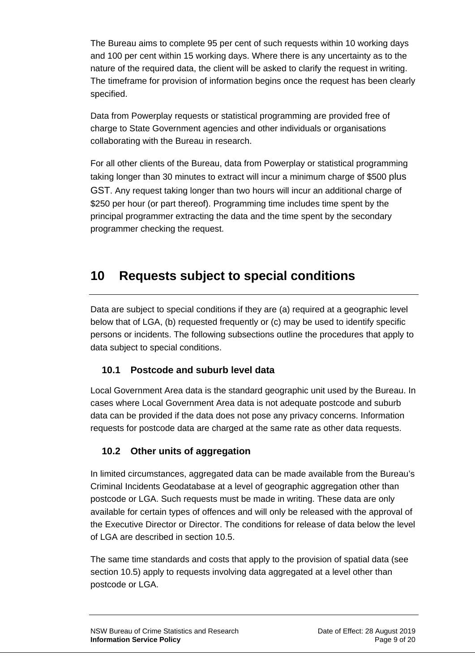The Bureau aims to complete 95 per cent of such requests within 10 working days and 100 per cent within 15 working days. Where there is any uncertainty as to the nature of the required data, the client will be asked to clarify the request in writing. The timeframe for provision of information begins once the request has been clearly specified.

Data from Powerplay requests or statistical programming are provided free of charge to State Government agencies and other individuals or organisations collaborating with the Bureau in research.

For all other clients of the Bureau, data from Powerplay or statistical programming taking longer than 30 minutes to extract will incur a minimum charge of \$500 plus GST. Any request taking longer than two hours will incur an additional charge of \$250 per hour (or part thereof). Programming time includes time spent by the principal programmer extracting the data and the time spent by the secondary programmer checking the request.

### <span id="page-8-0"></span>**10 Requests subject to special conditions**

Data are subject to special conditions if they are (a) required at a geographic level below that of LGA, (b) requested frequently or (c) may be used to identify specific persons or incidents. The following subsections outline the procedures that apply to data subject to special conditions.

#### <span id="page-8-1"></span>**10.1 Postcode and suburb level data**

Local Government Area data is the standard geographic unit used by the Bureau. In cases where Local Government Area data is not adequate postcode and suburb data can be provided if the data does not pose any privacy concerns. Information requests for postcode data are charged at the same rate as other data requests.

#### <span id="page-8-2"></span>**10.2 Other units of aggregation**

In limited circumstances, aggregated data can be made available from the Bureau's Criminal Incidents Geodatabase at a level of geographic aggregation other than postcode or LGA. Such requests must be made in writing. These data are only available for certain types of offences and will only be released with the approval of the Executive Director or Director. The conditions for release of data below the level of LGA are described in section 10.5.

The same time standards and costs that apply to the provision of spatial data (see section 10.5) apply to requests involving data aggregated at a level other than postcode or LGA.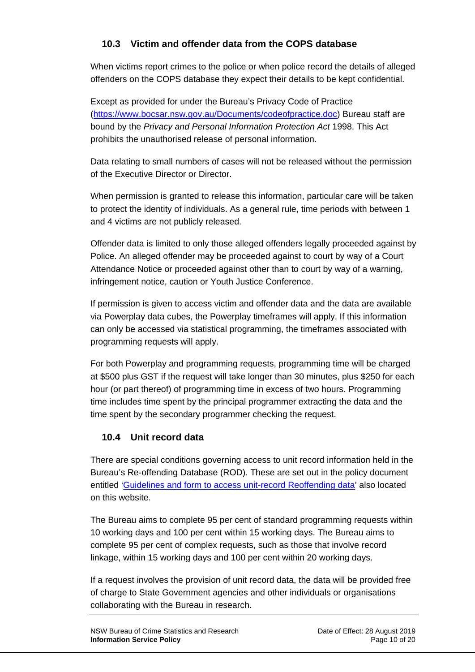#### <span id="page-9-0"></span>**10.3 Victim and offender data from the COPS database**

When victims report crimes to the police or when police record the details of alleged offenders on the COPS database they expect their details to be kept confidential.

Except as provided for under the Bureau's Privacy Code of Practice [\(https://www.bocsar.nsw.gov.au/Documents/codeofpractice.doc\)](https://www.bocsar.nsw.gov.au/Documents/codeofpractice.doc) Bureau staff are bound by the *Privacy and Personal Information Protection Act* 1998. This Act prohibits the unauthorised release of personal information.

Data relating to small numbers of cases will not be released without the permission of the Executive Director or Director.

When permission is granted to release this information, particular care will be taken to protect the identity of individuals. As a general rule, time periods with between 1 and 4 victims are not publicly released.

Offender data is limited to only those alleged offenders legally proceeded against by Police. An alleged offender may be proceeded against to court by way of a Court Attendance Notice or proceeded against other than to court by way of a warning, infringement notice, caution or Youth Justice Conference.

If permission is given to access victim and offender data and the data are available via Powerplay data cubes, the Powerplay timeframes will apply. If this information can only be accessed via statistical programming, the timeframes associated with programming requests will apply.

For both Powerplay and programming requests, programming time will be charged at \$500 plus GST if the request will take longer than 30 minutes, plus \$250 for each hour (or part thereof) of programming time in excess of two hours. Programming time includes time spent by the principal programmer extracting the data and the time spent by the secondary programmer checking the request.

#### <span id="page-9-1"></span>**10.4 Unit record data**

There are special conditions governing access to unit record information held in the Bureau's Re-offending Database (ROD). These are set out in the policy document entitled ['Guidelines and form to access unit-record Reoffending data'](https://www.bocsar.nsw.gov.au/Documents/guidelines_and_form_to_access_unitrecord_reoffending_data.doc) also located on this website.

The Bureau aims to complete 95 per cent of standard programming requests within 10 working days and 100 per cent within 15 working days. The Bureau aims to complete 95 per cent of complex requests, such as those that involve record linkage, within 15 working days and 100 per cent within 20 working days.

If a request involves the provision of unit record data, the data will be provided free of charge to State Government agencies and other individuals or organisations collaborating with the Bureau in research.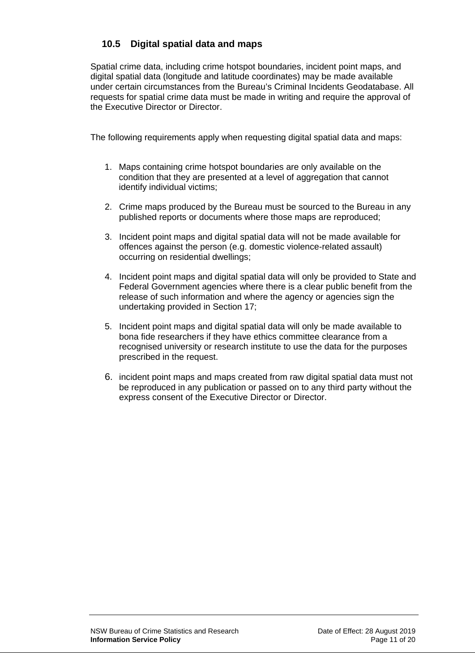#### <span id="page-10-0"></span>**10.5 Digital spatial data and maps**

Spatial crime data, including crime hotspot boundaries, incident point maps, and digital spatial data (longitude and latitude coordinates) may be made available under certain circumstances from the Bureau's Criminal Incidents Geodatabase. All requests for spatial crime data must be made in writing and require the approval of the Executive Director or Director.

The following requirements apply when requesting digital spatial data and maps:

- 1. Maps containing crime hotspot boundaries are only available on the condition that they are presented at a level of aggregation that cannot identify individual victims;
- 2. Crime maps produced by the Bureau must be sourced to the Bureau in any published reports or documents where those maps are reproduced;
- 3. Incident point maps and digital spatial data will not be made available for offences against the person (e.g. domestic violence-related assault) occurring on residential dwellings;
- 4. Incident point maps and digital spatial data will only be provided to State and Federal Government agencies where there is a clear public benefit from the release of such information and where the agency or agencies sign the undertaking provided in Section 17;
- 5. Incident point maps and digital spatial data will only be made available to bona fide researchers if they have ethics committee clearance from a recognised university or research institute to use the data for the purposes prescribed in the request.
- 6. incident point maps and maps created from raw digital spatial data must not be reproduced in any publication or passed on to any third party without the express consent of the Executive Director or Director.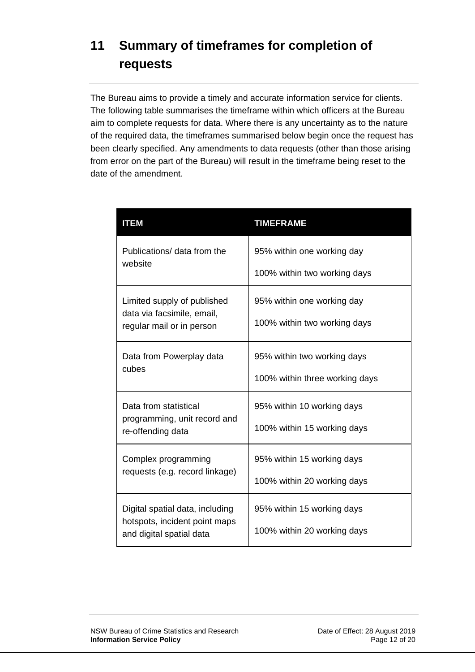# <span id="page-11-0"></span>**11 Summary of timeframes for completion of requests**

The Bureau aims to provide a timely and accurate information service for clients. The following table summarises the timeframe within which officers at the Bureau aim to complete requests for data. Where there is any uncertainty as to the nature of the required data, the timeframes summarised below begin once the request has been clearly specified. Any amendments to data requests (other than those arising from error on the part of the Bureau) will result in the timeframe being reset to the date of the amendment.

| <b>ITEM</b>                                               | <b>TIMEFRAME</b>               |
|-----------------------------------------------------------|--------------------------------|
| Publications/ data from the                               | 95% within one working day     |
| website                                                   | 100% within two working days   |
| Limited supply of published                               | 95% within one working day     |
| data via facsimile, email,<br>regular mail or in person   | 100% within two working days   |
| Data from Powerplay data                                  | 95% within two working days    |
| cubes                                                     | 100% within three working days |
| Data from statistical                                     | 95% within 10 working days     |
| programming, unit record and<br>re-offending data         | 100% within 15 working days    |
| Complex programming                                       | 95% within 15 working days     |
| requests (e.g. record linkage)                            | 100% within 20 working days    |
| Digital spatial data, including                           | 95% within 15 working days     |
| hotspots, incident point maps<br>and digital spatial data | 100% within 20 working days    |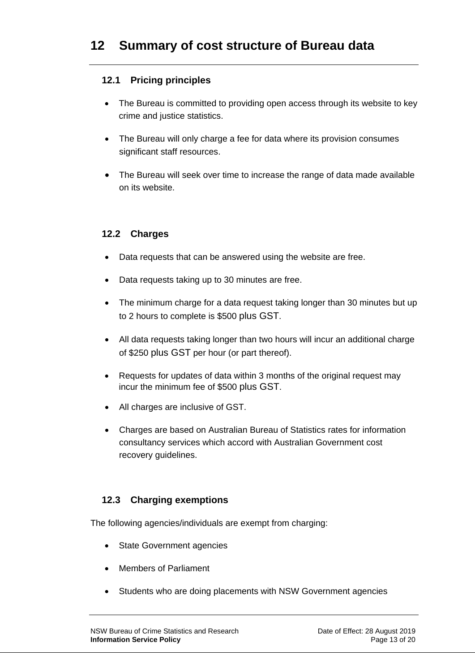#### <span id="page-12-1"></span><span id="page-12-0"></span>**12.1 Pricing principles**

- The Bureau is committed to providing open access through its website to key crime and justice statistics.
- The Bureau will only charge a fee for data where its provision consumes significant staff resources.
- The Bureau will seek over time to increase the range of data made available on its website.

#### <span id="page-12-2"></span>**12.2 Charges**

- Data requests that can be answered using the website are free.
- Data requests taking up to 30 minutes are free.
- The minimum charge for a data request taking longer than 30 minutes but up to 2 hours to complete is \$500 plus GST.
- All data requests taking longer than two hours will incur an additional charge of \$250 plus GST per hour (or part thereof).
- Requests for updates of data within 3 months of the original request may incur the minimum fee of \$500 plus GST.
- All charges are inclusive of GST.
- Charges are based on Australian Bureau of Statistics rates for information consultancy services which accord with Australian Government cost recovery guidelines.

#### <span id="page-12-3"></span>**12.3 Charging exemptions**

The following agencies/individuals are exempt from charging:

- State Government agencies
- Members of Parliament
- Students who are doing placements with NSW Government agencies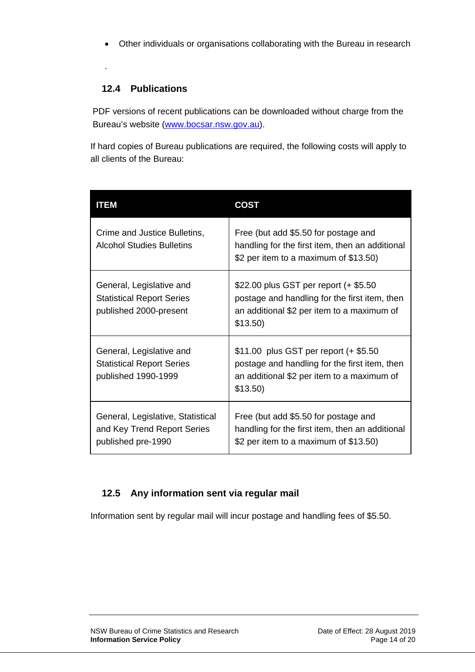• Other individuals or organisations collaborating with the Bureau in research

.

#### <span id="page-13-0"></span>**12.4 Publications**

PDF versions of recent publications can be downloaded without charge from the Bureau's website [\(www.bocsar.nsw.gov.au\)](http://www.bocsar.nsw.gov.au/).

If hard copies of Bureau publications are required, the following costs will apply to all clients of the Bureau:

| <b>ITEM</b>                                                                            | COST                                                                                                                                               |
|----------------------------------------------------------------------------------------|----------------------------------------------------------------------------------------------------------------------------------------------------|
| Crime and Justice Bulletins,<br><b>Alcohol Studies Bulletins</b>                       | Free (but add \$5.50 for postage and<br>handling for the first item, then an additional<br>\$2 per item to a maximum of \$13.50)                   |
| General, Legislative and<br><b>Statistical Report Series</b><br>published 2000-present | \$22.00 plus GST per report (+ \$5.50<br>postage and handling for the first item, then<br>an additional \$2 per item to a maximum of<br>$$13.50$ ) |
| General, Legislative and<br><b>Statistical Report Series</b><br>published 1990-1999    | \$11.00 plus GST per report (+ \$5.50<br>postage and handling for the first item, then<br>an additional \$2 per item to a maximum of<br>$$13.50$ ) |
| General, Legislative, Statistical<br>and Key Trend Report Series<br>published pre-1990 | Free (but add \$5.50 for postage and<br>handling for the first item, then an additional<br>\$2 per item to a maximum of \$13.50)                   |

#### <span id="page-13-1"></span>**12.5 Any information sent via regular mail**

<span id="page-13-2"></span>Information sent by regular mail will incur postage and handling fees of \$5.50.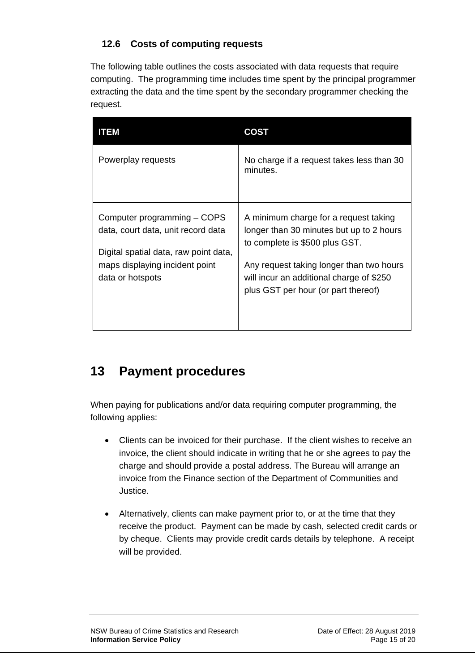#### **12.6 Costs of computing requests**

The following table outlines the costs associated with data requests that require computing. The programming time includes time spent by the principal programmer extracting the data and the time spent by the secondary programmer checking the request.

| ITEM                                                                                                                                                             | COST                                                                                                                                                                                                                                               |
|------------------------------------------------------------------------------------------------------------------------------------------------------------------|----------------------------------------------------------------------------------------------------------------------------------------------------------------------------------------------------------------------------------------------------|
| Powerplay requests                                                                                                                                               | No charge if a request takes less than 30<br>minutes.                                                                                                                                                                                              |
| Computer programming – COPS<br>data, court data, unit record data<br>Digital spatial data, raw point data,<br>maps displaying incident point<br>data or hotspots | A minimum charge for a request taking<br>longer than 30 minutes but up to 2 hours<br>to complete is \$500 plus GST.<br>Any request taking longer than two hours<br>will incur an additional charge of \$250<br>plus GST per hour (or part thereof) |

### <span id="page-14-0"></span>**13 Payment procedures**

When paying for publications and/or data requiring computer programming, the following applies:

- Clients can be invoiced for their purchase. If the client wishes to receive an invoice, the client should indicate in writing that he or she agrees to pay the charge and should provide a postal address. The Bureau will arrange an invoice from the Finance section of the Department of Communities and Justice.
- Alternatively, clients can make payment prior to, or at the time that they receive the product. Payment can be made by cash, selected credit cards or by cheque. Clients may provide credit cards details by telephone. A receipt will be provided.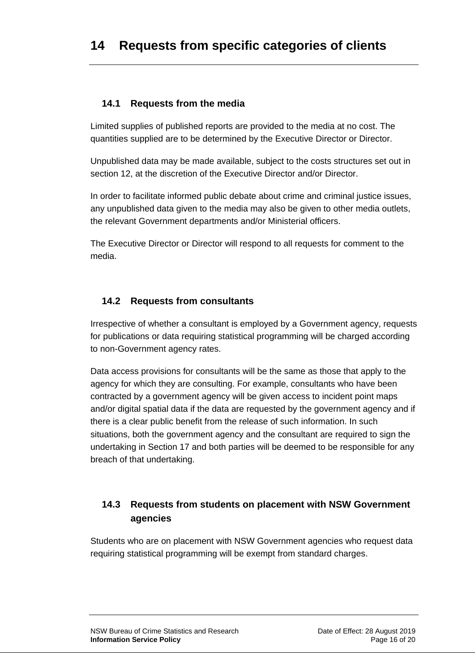#### <span id="page-15-1"></span><span id="page-15-0"></span>**14.1 Requests from the media**

Limited supplies of published reports are provided to the media at no cost. The quantities supplied are to be determined by the Executive Director or Director.

Unpublished data may be made available, subject to the costs structures set out in section 12, at the discretion of the Executive Director and/or Director.

In order to facilitate informed public debate about crime and criminal justice issues, any unpublished data given to the media may also be given to other media outlets, the relevant Government departments and/or Ministerial officers.

The Executive Director or Director will respond to all requests for comment to the media.

#### <span id="page-15-2"></span>**14.2 Requests from consultants**

Irrespective of whether a consultant is employed by a Government agency, requests for publications or data requiring statistical programming will be charged according to non-Government agency rates.

Data access provisions for consultants will be the same as those that apply to the agency for which they are consulting. For example, consultants who have been contracted by a government agency will be given access to incident point maps and/or digital spatial data if the data are requested by the government agency and if there is a clear public benefit from the release of such information. In such situations, both the government agency and the consultant are required to sign the undertaking in Section 17 and both parties will be deemed to be responsible for any breach of that undertaking.

#### **14.3 Requests from students on placement with NSW Government agencies**

Students who are on placement with NSW Government agencies who request data requiring statistical programming will be exempt from standard charges.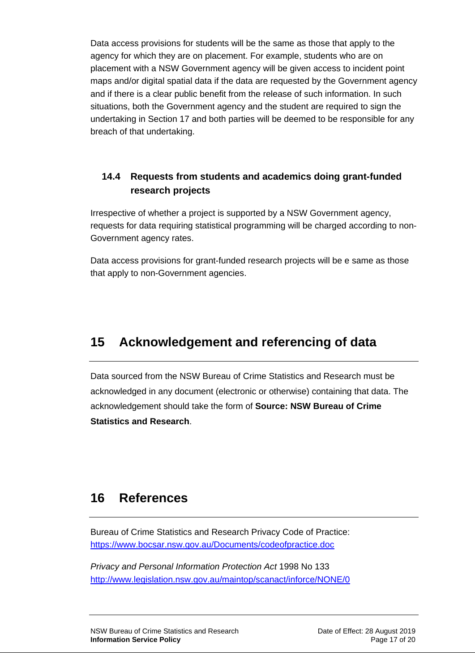Data access provisions for students will be the same as those that apply to the agency for which they are on placement. For example, students who are on placement with a NSW Government agency will be given access to incident point maps and/or digital spatial data if the data are requested by the Government agency and if there is a clear public benefit from the release of such information. In such situations, both the Government agency and the student are required to sign the undertaking in Section 17 and both parties will be deemed to be responsible for any breach of that undertaking.

#### **14.4 Requests from students and academics doing grant-funded research projects**

Irrespective of whether a project is supported by a NSW Government agency, requests for data requiring statistical programming will be charged according to non-Government agency rates.

Data access provisions for grant-funded research projects will be e same as those that apply to non-Government agencies.

# <span id="page-16-0"></span>**15 Acknowledgement and referencing of data**

Data sourced from the NSW Bureau of Crime Statistics and Research must be acknowledged in any document (electronic or otherwise) containing that data. The acknowledgement should take the form of **Source: NSW Bureau of Crime Statistics and Research**.

### <span id="page-16-1"></span>**16 References**

Bureau of Crime Statistics and Research Privacy Code of Practice: <https://www.bocsar.nsw.gov.au/Documents/codeofpractice.doc>

*Privacy and Personal Information Protection Act* 1998 No 133 <http://www.legislation.nsw.gov.au/maintop/scanact/inforce/NONE/0>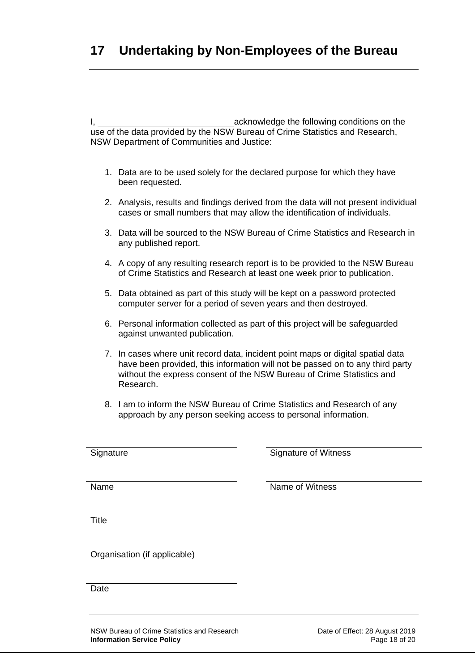<span id="page-17-0"></span>I, 1. **Acknowledge the following conditions on the** use of the data provided by the NSW Bureau of Crime Statistics and Research, NSW Department of Communities and Justice:

- 1. Data are to be used solely for the declared purpose for which they have been requested.
- 2. Analysis, results and findings derived from the data will not present individual cases or small numbers that may allow the identification of individuals.
- 3. Data will be sourced to the NSW Bureau of Crime Statistics and Research in any published report.
- 4. A copy of any resulting research report is to be provided to the NSW Bureau of Crime Statistics and Research at least one week prior to publication.
- 5. Data obtained as part of this study will be kept on a password protected computer server for a period of seven years and then destroyed.
- 6. Personal information collected as part of this project will be safeguarded against unwanted publication.
- 7. In cases where unit record data, incident point maps or digital spatial data have been provided, this information will not be passed on to any third party without the express consent of the NSW Bureau of Crime Statistics and Research.
- 8. I am to inform the NSW Bureau of Crime Statistics and Research of any approach by any person seeking access to personal information.

Signature Signature of Witness

Name Name of Witness

**Title** 

Organisation (if applicable)

Date

NSW Bureau of Crime Statistics and Research Date of Effect: 28 August 2019 **Information Service Policy Page 18 of 20**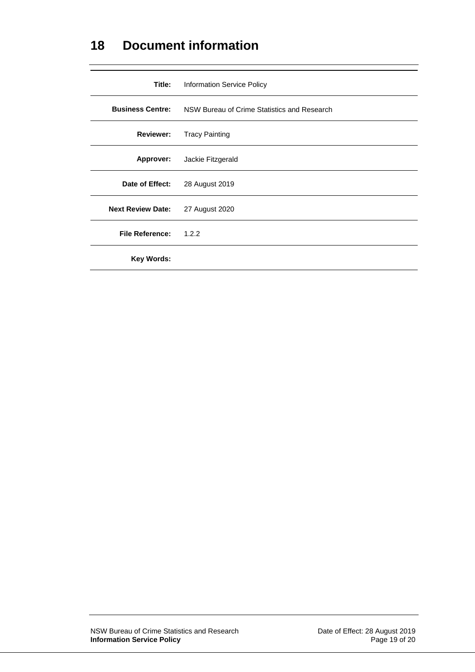### <span id="page-18-0"></span>**18 Document information**

<span id="page-18-1"></span>

| Title:                   | <b>Information Service Policy</b>                                   |
|--------------------------|---------------------------------------------------------------------|
|                          | <b>Business Centre:</b> NSW Bureau of Crime Statistics and Research |
| <b>Reviewer:</b>         | <b>Tracy Painting</b>                                               |
|                          | Approver: Jackie Fitzgerald                                         |
| Date of Effect:          | 28 August 2019                                                      |
| <b>Next Review Date:</b> | 27 August 2020                                                      |
| <b>File Reference:</b>   | 1.2.2                                                               |
| Key Words:               |                                                                     |